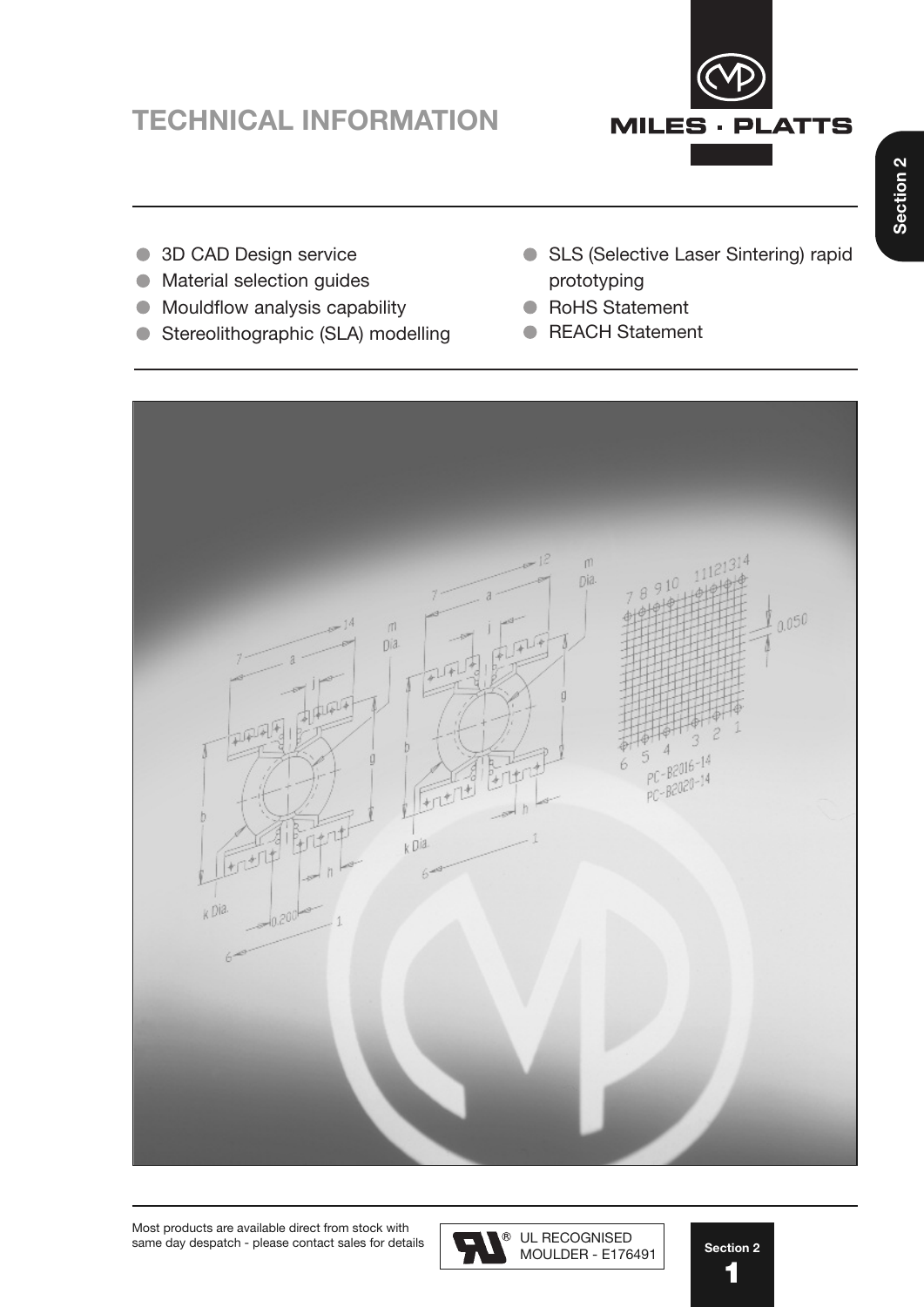# **TECHNICAL INFORMATION**



- 3D CAD Design service
- Material selection guides  $\bullet$
- Mouldflow analysis capability  $\bullet$
- Stereolithographic (SLA) modelling
- SLS (Selective Laser Sintering) rapid prototyping
- RoHS Statement
- REACH Statement





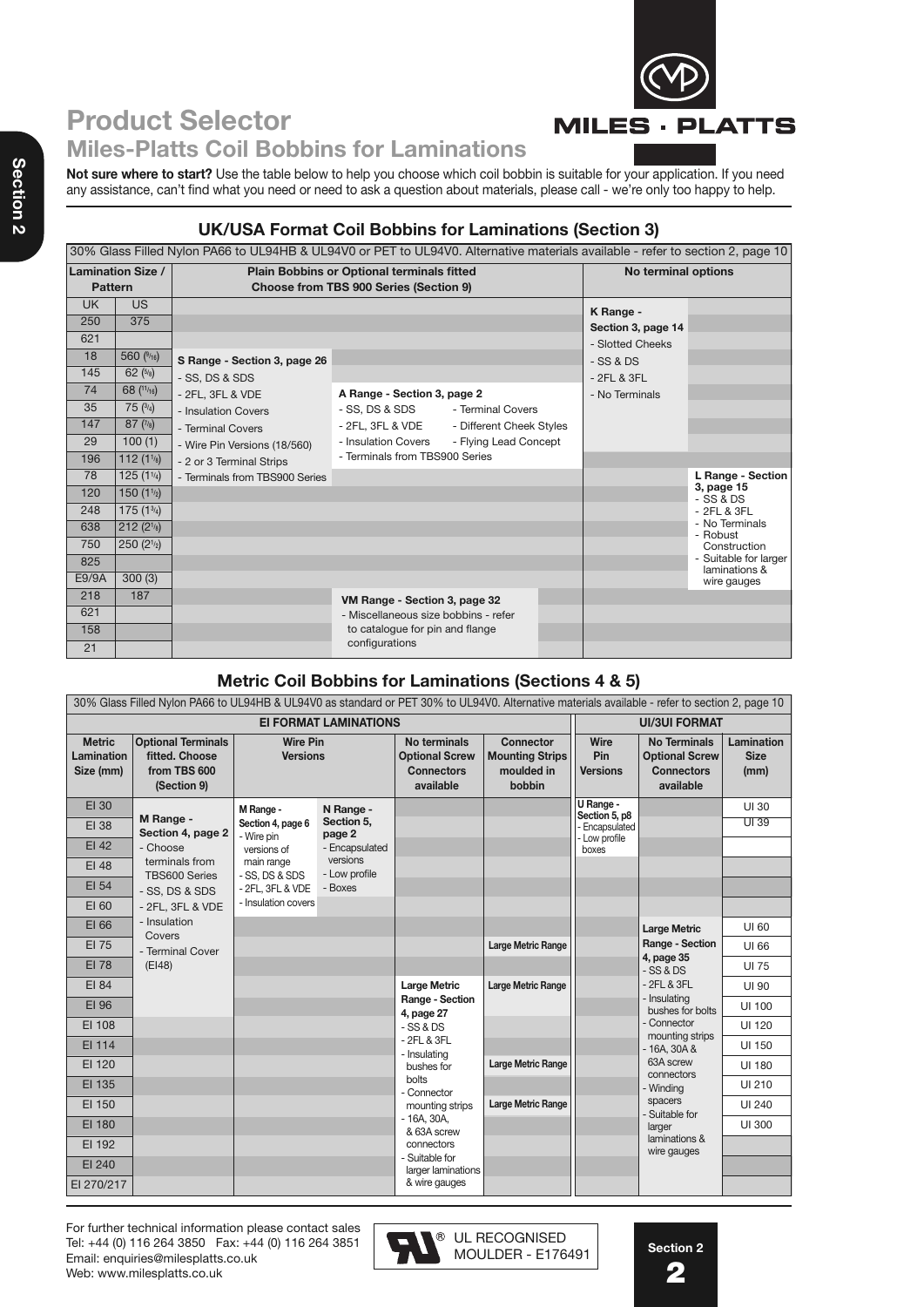

## **Product Selector Miles-Platts Coil Bobbins for Laminations**

**Not sure where to start?** Use the table below to help you choose which coil bobbin is suitable for your application. If you need any assistance, can't find what you need or need to ask a question about materials, please call - we're only too happy to help.

## **UK/USA Format Coil Bobbins for Laminations (Section 3)**

|                | 30% Glass Filled Nylon PA66 to UL94HB & UL94V0 or PET to UL94V0. Alternative materials available - refer to section 2, page 10 |                                |                                            |                          |  |                     |                                        |  |  |  |
|----------------|--------------------------------------------------------------------------------------------------------------------------------|--------------------------------|--------------------------------------------|--------------------------|--|---------------------|----------------------------------------|--|--|--|
|                | <b>Lamination Size /</b>                                                                                                       |                                | Plain Bobbins or Optional terminals fitted |                          |  | No terminal options |                                        |  |  |  |
| <b>Pattern</b> |                                                                                                                                |                                | Choose from TBS 900 Series (Section 9)     |                          |  |                     |                                        |  |  |  |
| <b>UK</b>      | <b>US</b>                                                                                                                      |                                |                                            |                          |  | K Range -           |                                        |  |  |  |
| 250            | 375                                                                                                                            |                                |                                            |                          |  | Section 3, page 14  |                                        |  |  |  |
| 621            |                                                                                                                                |                                |                                            |                          |  | - Slotted Cheeks    |                                        |  |  |  |
| 18             | 560 $(9/16)$                                                                                                                   | S Range - Section 3, page 26   |                                            |                          |  | $-SS & DS$          |                                        |  |  |  |
| 145            | 62 $(5/8)$                                                                                                                     | - SS, DS & SDS                 |                                            |                          |  | $-2FL & 3FL$        |                                        |  |  |  |
| 74             | 68 $(11/16)$                                                                                                                   | - 2FL, 3FL & VDE               | A Range - Section 3, page 2                |                          |  | - No Terminals      |                                        |  |  |  |
| 35             | 75 $(3/4)$                                                                                                                     | - Insulation Covers            | - SS, DS & SDS                             | - Terminal Covers        |  |                     |                                        |  |  |  |
| 147            | 87(7/8)                                                                                                                        | - Terminal Covers              | - 2FL, 3FL & VDE                           | - Different Cheek Styles |  |                     |                                        |  |  |  |
| 29             | 100(1)                                                                                                                         | - Wire Pin Versions (18/560)   | - Insulation Covers                        | - Flying Lead Concept    |  |                     |                                        |  |  |  |
| 196            | 112(11/8)                                                                                                                      | - 2 or 3 Terminal Strips       | - Terminals from TBS900 Series             |                          |  |                     |                                        |  |  |  |
| 78             | $125(1\frac{1}{4})$                                                                                                            | - Terminals from TBS900 Series |                                            |                          |  |                     | L Range - Section                      |  |  |  |
| 120            | 150(1 <sup>1</sup> / <sub>2</sub> )                                                                                            |                                |                                            |                          |  |                     | 3, page 15<br>$-$ SS & DS              |  |  |  |
| 248            | $175(1^{3/4})$                                                                                                                 |                                |                                            |                          |  |                     | $-2FL & 3FL$                           |  |  |  |
| 638            | 212(2 <sup>1</sup> /8)                                                                                                         |                                |                                            |                          |  |                     | - No Terminals<br>- Robust             |  |  |  |
| 750            | 250(2 <sup>1</sup> / <sub>2</sub> )                                                                                            |                                |                                            |                          |  |                     | Construction                           |  |  |  |
| 825            |                                                                                                                                |                                |                                            |                          |  |                     | - Suitable for larger<br>laminations & |  |  |  |
| E9/9A          | 300(3)                                                                                                                         |                                |                                            |                          |  |                     | wire gauges                            |  |  |  |
| 218            | 187                                                                                                                            |                                | VM Range - Section 3, page 32              |                          |  |                     |                                        |  |  |  |
| 621            |                                                                                                                                |                                | - Miscellaneous size bobbins - refer       |                          |  |                     |                                        |  |  |  |
| 158            |                                                                                                                                |                                | to catalogue for pin and flange            |                          |  |                     |                                        |  |  |  |
| 21             |                                                                                                                                |                                | configurations                             |                          |  |                     |                                        |  |  |  |

### **Metric Coil Bobbins for Laminations (Sections 4 & 5)**

|                                          | 30% Glass Filled Nylon PA66 to UL94HB & UL94V0 as standard or PET 30% to UL94V0. Alternative materials available - refer to section 2, page 10 |                                    |                              |                                                                         |                                                             |                                |                                                                                |                                          |
|------------------------------------------|------------------------------------------------------------------------------------------------------------------------------------------------|------------------------------------|------------------------------|-------------------------------------------------------------------------|-------------------------------------------------------------|--------------------------------|--------------------------------------------------------------------------------|------------------------------------------|
|                                          |                                                                                                                                                |                                    | <b>EI FORMAT LAMINATIONS</b> |                                                                         |                                                             |                                | <b>UI/3UI FORMAT</b>                                                           |                                          |
| <b>Metric</b><br>Lamination<br>Size (mm) | <b>Optional Terminals</b><br>fitted. Choose<br>from TBS 600<br>(Section 9)                                                                     | <b>Wire Pin</b><br><b>Versions</b> |                              | No terminals<br><b>Optional Screw</b><br><b>Connectors</b><br>available | Connector<br><b>Mounting Strips</b><br>moulded in<br>bobbin | Wire<br>Pin<br><b>Versions</b> | <b>No Terminals</b><br><b>Optional Screw</b><br><b>Connectors</b><br>available | <b>Lamination</b><br><b>Size</b><br>(mm) |
| EI 30                                    |                                                                                                                                                | M Range -                          | N Range -                    |                                                                         |                                                             | U Range -<br>Section 5, p8     |                                                                                | UI 30                                    |
| EI 38                                    | M Range -<br>Section 4, page 2                                                                                                                 | Section 4, page 6<br>- Wire pin    | Section 5,<br>page 2         |                                                                         |                                                             | - Encapsulated                 |                                                                                | UI39                                     |
| EI 42                                    | - Choose                                                                                                                                       | versions of                        | - Encapsulated               |                                                                         |                                                             | - Low profile<br>boxes         |                                                                                |                                          |
| <b>EI 48</b>                             | terminals from<br>TBS600 Series                                                                                                                | main range<br>- SS, DS & SDS       | versions<br>- Low profile    |                                                                         |                                                             |                                |                                                                                |                                          |
| EI 54                                    | - SS, DS & SDS                                                                                                                                 | - 2FL, 3FL & VDE                   | - Boxes                      |                                                                         |                                                             |                                |                                                                                |                                          |
| EI 60                                    | - 2FL, 3FL & VDE                                                                                                                               | - Insulation covers                |                              |                                                                         |                                                             |                                |                                                                                |                                          |
| EI 66                                    | - Insulation<br>Covers                                                                                                                         |                                    |                              |                                                                         |                                                             |                                | <b>Large Metric</b>                                                            | UI 60                                    |
| EI 75                                    | - Terminal Cover                                                                                                                               |                                    |                              |                                                                         | Large Metric Range                                          |                                | Range - Section                                                                | UI 66                                    |
| <b>EI 78</b>                             | (EI48)                                                                                                                                         |                                    |                              |                                                                         |                                                             |                                | 4, page 35<br>$-SS & DS$                                                       | UI 75                                    |
| EI 84                                    |                                                                                                                                                |                                    |                              | <b>Large Metric</b>                                                     | Large Metric Range                                          |                                | $-2FL & 3FL$                                                                   | UI 90                                    |
| EI 96                                    |                                                                                                                                                |                                    |                              | Range - Section<br>4, page 27                                           |                                                             |                                | - Insulating<br>bushes for bolts                                               | UI 100                                   |
| EI 108                                   |                                                                                                                                                |                                    |                              | $-SS & DS$                                                              |                                                             |                                | - Connector<br>mounting strips                                                 | UI 120                                   |
| EI 114                                   |                                                                                                                                                |                                    |                              | $-2FL & 3FL$<br>- Insulating                                            |                                                             |                                | $-16A, 30A &$                                                                  | UI 150                                   |
| EI 120                                   |                                                                                                                                                |                                    |                              | bushes for                                                              | Large Metric Range                                          |                                | 63A screw<br>connectors                                                        | UI 180                                   |
| EI 135                                   |                                                                                                                                                |                                    |                              | bolts<br>- Connector                                                    |                                                             |                                | - Winding                                                                      | UI 210                                   |
| EI 150                                   |                                                                                                                                                |                                    |                              | mounting strips                                                         | Large Metric Range                                          |                                | spacers<br>- Suitable for                                                      | UI 240                                   |
| EI 180                                   |                                                                                                                                                |                                    |                              | $-16A, 30A,$<br>& 63A screw                                             |                                                             |                                | larger                                                                         | UI 300                                   |
| EI 192                                   |                                                                                                                                                |                                    |                              | connectors                                                              |                                                             |                                | laminations &<br>wire gauges                                                   |                                          |
| EI 240                                   |                                                                                                                                                |                                    |                              | - Suitable for<br>larger laminations                                    |                                                             |                                |                                                                                |                                          |
| EI 270/217                               |                                                                                                                                                |                                    |                              | & wire gauges                                                           |                                                             |                                |                                                                                |                                          |

For further technical information please contact sales Tel: +44 (0) 116 264 3850 Fax: +44 (0) 116 264 3851 Email: enquiries@milesplatts.co.uk Web: www.milesplatts.co.uk

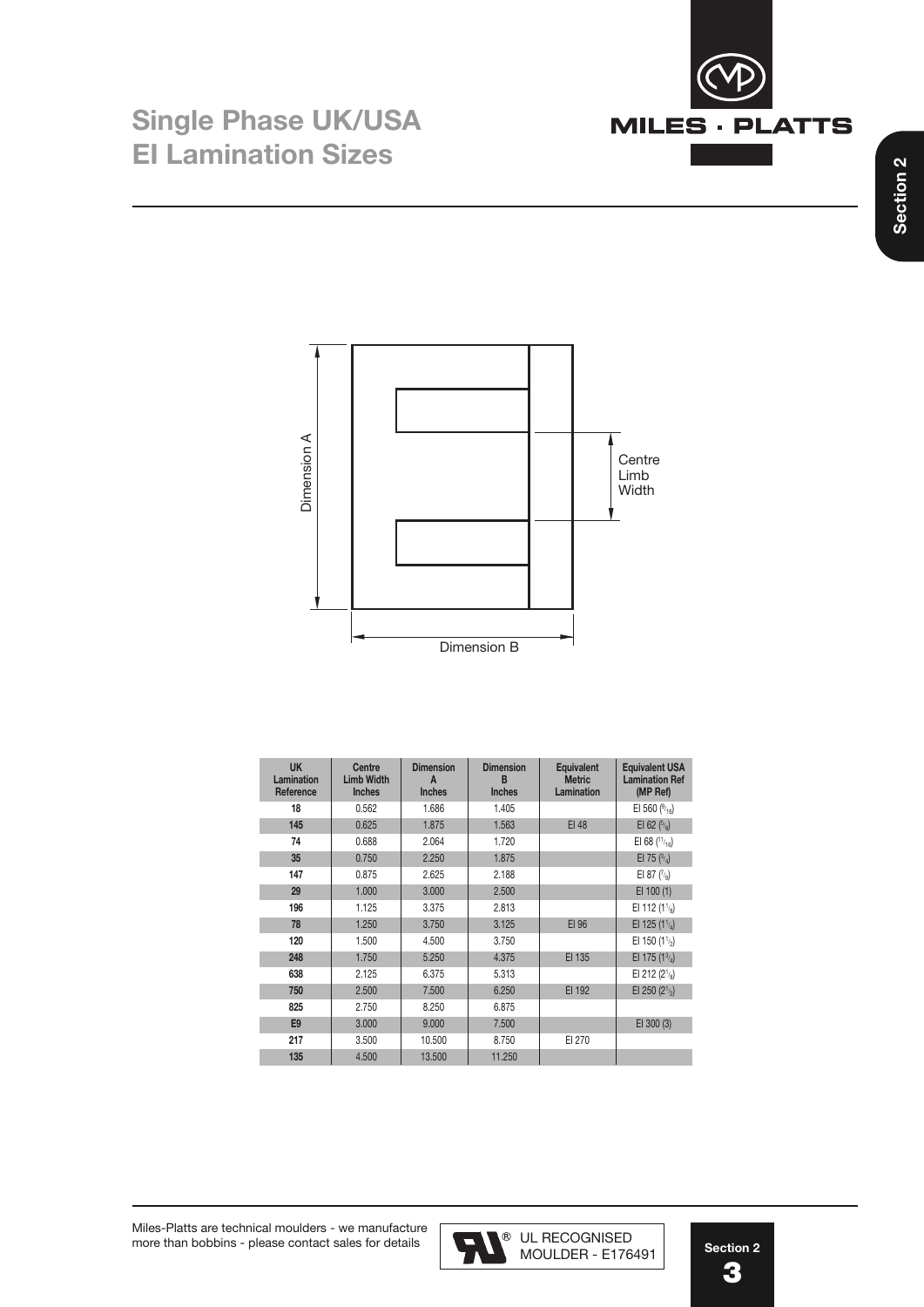



| <b>UK</b><br><b>Lamination</b><br>Reference | Centre<br><b>Limb Width</b><br><b>Inches</b> | <b>Dimension</b><br>A<br><b>Inches</b> | <b>Dimension</b><br>В<br><b>Inches</b> | <b>Equivalent</b><br><b>Metric</b><br>Lamination | <b>Equivalent USA</b><br><b>Lamination Ref</b><br>(MP Ref) |
|---------------------------------------------|----------------------------------------------|----------------------------------------|----------------------------------------|--------------------------------------------------|------------------------------------------------------------|
| 18                                          | 0.562                                        | 1.686                                  | 1.405                                  |                                                  | EI 560 $(^{9}_{16})$                                       |
| 145                                         | 0.625                                        | 1.875                                  | 1.563                                  | EI 48                                            | EI 62 $(5/8)$                                              |
| 74                                          | 0.688                                        | 2.064                                  | 1.720                                  |                                                  | EI 68 $(11)_{16}$                                          |
| 35                                          | 0.750                                        | 2.250                                  | 1.875                                  |                                                  | El 75 $(^{3}/_4)$                                          |
| 147                                         | 0.875                                        | 2.625                                  | 2.188                                  |                                                  | EI 87 $(^{7}_{8})$                                         |
| 29                                          | 1.000                                        | 3.000                                  | 2.500                                  |                                                  | $EI$ 100 $(1)$                                             |
| 196                                         | 1.125                                        | 3.375                                  | 2.813                                  |                                                  | EI 112 (1 $\frac{1}{2}$ )                                  |
| 78                                          | 1.250                                        | 3.750                                  | 3.125                                  | EI 96                                            | EI 125 (1 $\frac{1}{4}$ )                                  |
| 120                                         | 1.500                                        | 4.500                                  | 3.750                                  |                                                  | EI 150 (1 $\frac{1}{2}$ )                                  |
| 248                                         | 1.750                                        | 5.250                                  | 4.375                                  | EI 135                                           | EI 175 (1 $^{3/4}$ )                                       |
| 638                                         | 2.125                                        | 6.375                                  | 5.313                                  |                                                  | EI 212 $(2^1$ / <sub>8</sub> )                             |
| 750                                         | 2.500                                        | 7.500                                  | 6.250                                  | EI 192                                           | EI 250 ( $2^{1/2}$ )                                       |
| 825                                         | 2.750                                        | 8.250                                  | 6.875                                  |                                                  |                                                            |
| E <sub>9</sub>                              | 3.000                                        | 9.000                                  | 7.500                                  |                                                  | EI 300 (3)                                                 |
| 217                                         | 3.500                                        | 10.500                                 | 8.750                                  | EI 270                                           |                                                            |
| 135                                         | 4.500                                        | 13,500                                 | 11.250                                 |                                                  |                                                            |

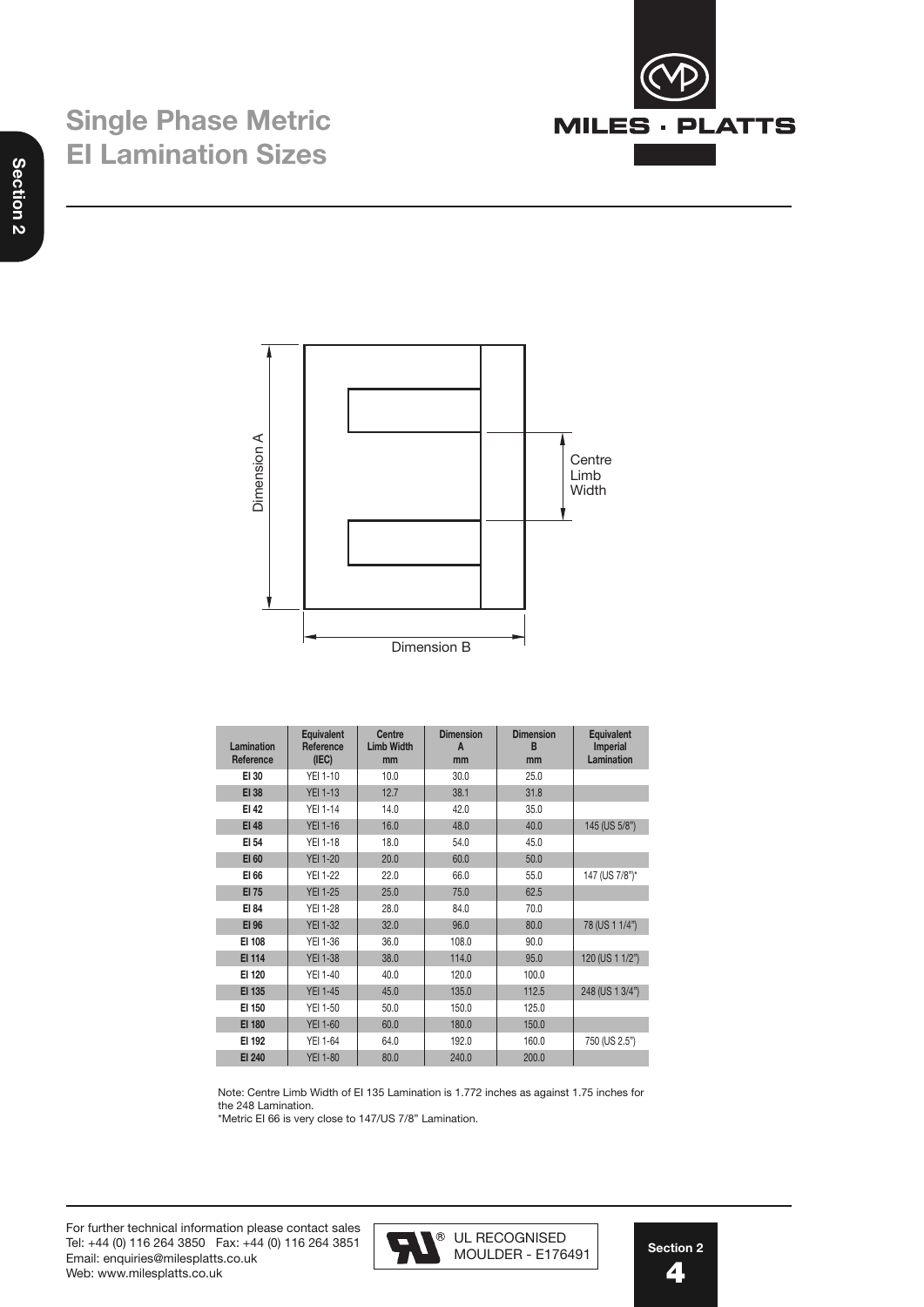





| Lamination<br>Reference | <b>Equivalent</b><br>Reference<br>(IEC) | Centre<br><b>Limb Width</b><br>mm | <b>Dimension</b><br>A<br>mm | <b>Dimension</b><br>B<br>mm | <b>Equivalent</b><br><b>Imperial</b><br>Lamination |
|-------------------------|-----------------------------------------|-----------------------------------|-----------------------------|-----------------------------|----------------------------------------------------|
| EI 30                   | <b>YEI 1-10</b>                         | 10.0                              | 30.0                        | 25.0                        |                                                    |
| <b>EI 38</b>            | <b>YEI 1-13</b>                         | 12.7                              | 38.1                        | 31.8                        |                                                    |
| EI 42                   | <b>YEI 1-14</b>                         | 14.0                              | 42.0                        | 35.0                        |                                                    |
| <b>EI 48</b>            | <b>YEI 1-16</b>                         | 16.0                              | 48.0                        | 40.0                        | 145 (US 5/8")                                      |
| EI 54                   | <b>YEI 1-18</b>                         | 18.0                              | 54.0                        | 45.0                        |                                                    |
| EI 60                   | <b>YEI 1-20</b>                         | 20.0                              | 60.0                        | 50.0                        |                                                    |
| EI 66                   | <b>YEI 1-22</b>                         | 22.0                              | 66.0                        | 55.0                        | 147 (US 7/8")*                                     |
| <b>EI 75</b>            | <b>YEI 1-25</b>                         | 25.0                              | 75.0                        | 62.5                        |                                                    |
| EI 84                   | <b>YEI 1-28</b>                         | 28.0                              | 84.0                        | 70.0                        |                                                    |
| EI 96                   | <b>YEI 1-32</b>                         | 32.0                              | 96.0                        | 80.0                        | 78 (US 1 1/4")                                     |
| EI 108                  | <b>YEI 1-36</b>                         | 36.0                              | 108.0                       | 90.0                        |                                                    |
| EI 114                  | <b>YEI 1-38</b>                         | 38.0                              | 114.0                       | 95.0                        | 120 (US 1 1/2")                                    |
| EI 120                  | <b>YEI 1-40</b>                         | 40.0                              | 120.0                       | 100.0                       |                                                    |
| EI 135                  | <b>YEI 1-45</b>                         | 45.0                              | 135.0                       | 112.5                       | 248 (US 1 3/4")                                    |
| EI 150                  | <b>YEI 1-50</b>                         | 50.0                              | 150.0                       | 125.0                       |                                                    |
| <b>EI 180</b>           | <b>YEI 1-60</b>                         | 60.0                              | 180.0                       | 150.0                       |                                                    |
| EI 192                  | <b>YEI 1-64</b>                         | 64.0                              | 192.0                       | 160.0                       | 750 (US 2.5")                                      |
| EI 240                  | <b>YEI 1-80</b>                         | 80.0                              | 240.0                       | 200.0                       |                                                    |

Note: Centre Limb Width of EI 135 Lamination is 1.772 inches as against 1.75 inches for the 248 Lamination.

\*Metric EI 66 is very close to 147/US 7/8" Lamination.

For further technical information please contact sales Tel: +44 (0) 116 264 3850 Fax: +44 (0) 116 264 3851 Email: enquiries@milesplatts.co.uk Web: www.milesplatts.co.uk

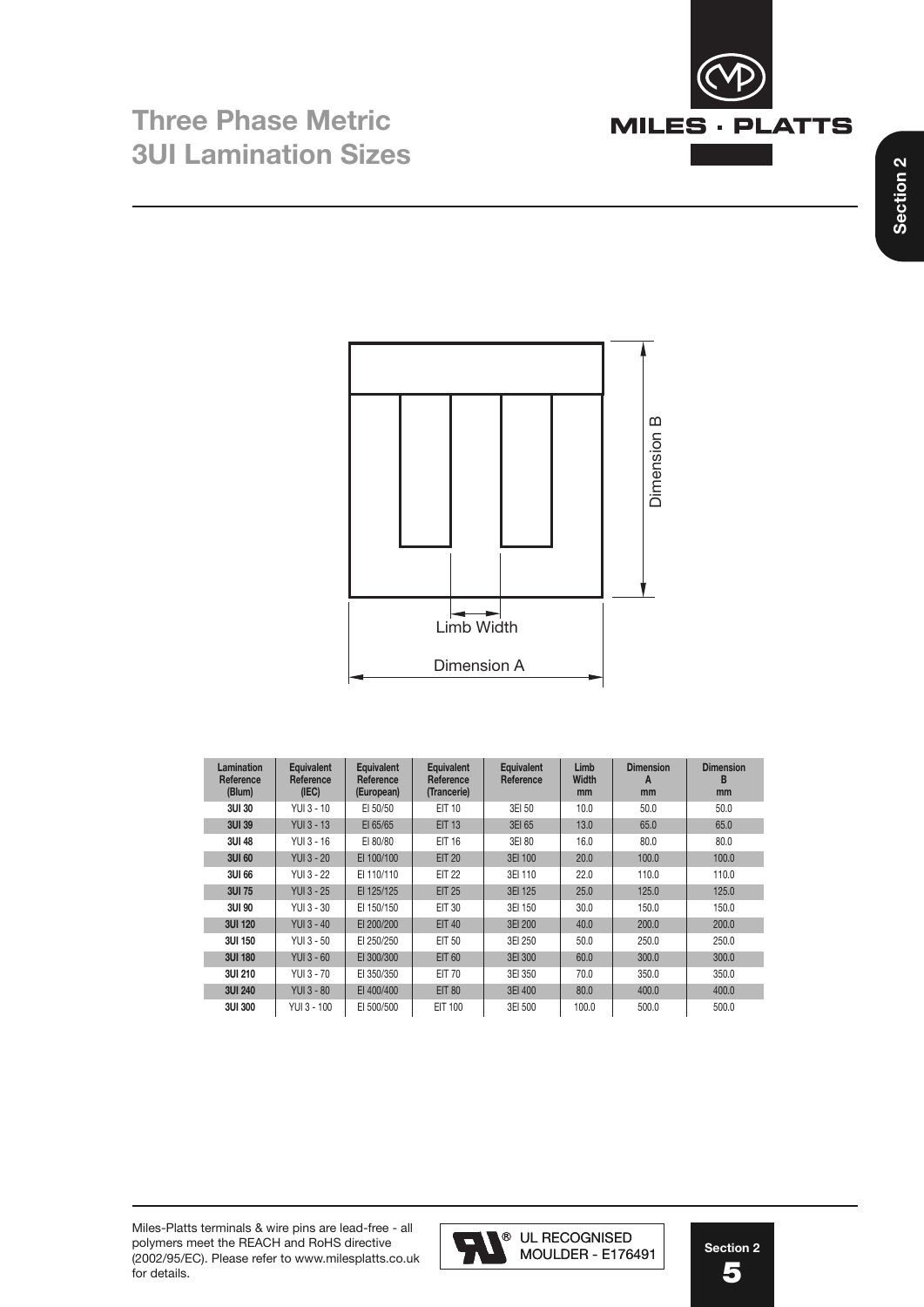



| Lamination<br>Reference<br>(Blum) | <b>Equivalent</b><br>Reference<br>(IEC) | <b>Equivalent</b><br>Reference<br>(European) | <b>Equivalent</b><br>Reference<br>(Trancerie) | <b>Equivalent</b><br>Reference | Limb<br><b>Width</b><br>mm | <b>Dimension</b><br>A<br>mm | <b>Dimension</b><br>в<br>mm |
|-----------------------------------|-----------------------------------------|----------------------------------------------|-----------------------------------------------|--------------------------------|----------------------------|-----------------------------|-----------------------------|
| <b>3UI 30</b>                     | YUI 3 - 10                              | EI 50/50                                     | EIT 10                                        | 3EI 50                         | 10.0                       | 50.0                        | 50.0                        |
| 3UI 39                            | <b>YUI 3 - 13</b>                       | EI 65/65                                     | <b>EIT 13</b>                                 | 3EI 65                         | 13.0                       | 65.0                        | 65.0                        |
| 3UI 48                            | YUI 3 - 16                              | EI 80/80                                     | <b>EIT 16</b>                                 | 3EI 80                         | 16.0                       | 80.0                        | 80.0                        |
| 3UI 60                            | <b>YUI 3 - 20</b>                       | EI 100/100                                   | <b>EIT 20</b>                                 | 3EI 100                        | 20.0                       | 100.0                       | 100.0                       |
| 3UI 66                            | YUI 3 - 22                              | EI 110/110                                   | <b>EIT 22</b>                                 | 3EI 110                        | 22.0                       | 110.0                       | 110.0                       |
| 3UI 75                            | <b>YUI 3 - 25</b>                       | EI 125/125                                   | <b>EIT 25</b>                                 | 3EI 125                        | 25.0                       | 125.0                       | 125.0                       |
| 3UI 90                            | YUI 3 - 30                              | EI 150/150                                   | EIT 30                                        | 3EI 150                        | 30.0                       | 150.0                       | 150.0                       |
| 3UI 120                           | <b>YUI 3 - 40</b>                       | EI 200/200                                   | <b>EIT 40</b>                                 | 3EI 200                        | 40.0                       | 200.0                       | 200.0                       |
| 3UI 150                           | YUI 3 - 50                              | EI 250/250                                   | EIT 50                                        | 3EI 250                        | 50.0                       | 250.0                       | 250.0                       |
| 3UI 180                           | <b>YUI 3 - 60</b>                       | EI 300/300                                   | <b>EIT 60</b>                                 | 3EI 300                        | 60.0                       | 300.0                       | 300.0                       |
| 3UI 210                           | YUI 3 - 70                              | EI 350/350                                   | <b>EIT 70</b>                                 | 3EI 350                        | 70.0                       | 350.0                       | 350.0                       |
| <b>3UI 240</b>                    | <b>YUI 3 - 80</b>                       | EI 400/400                                   | <b>EIT 80</b>                                 | 3EI 400                        | 80.0                       | 400.0                       | 400.0                       |
| 3UI 300                           | YUI 3 - 100                             | EI 500/500                                   | EIT 100                                       | 3EI 500                        | 100.0                      | 500.0                       | 500.0                       |

Miles-Platts terminals & wire pins are lead-free - all polymers meet the REACH and RoHS directive (2002/95/EC). Please refer to www.milesplatts.co.uk for details.



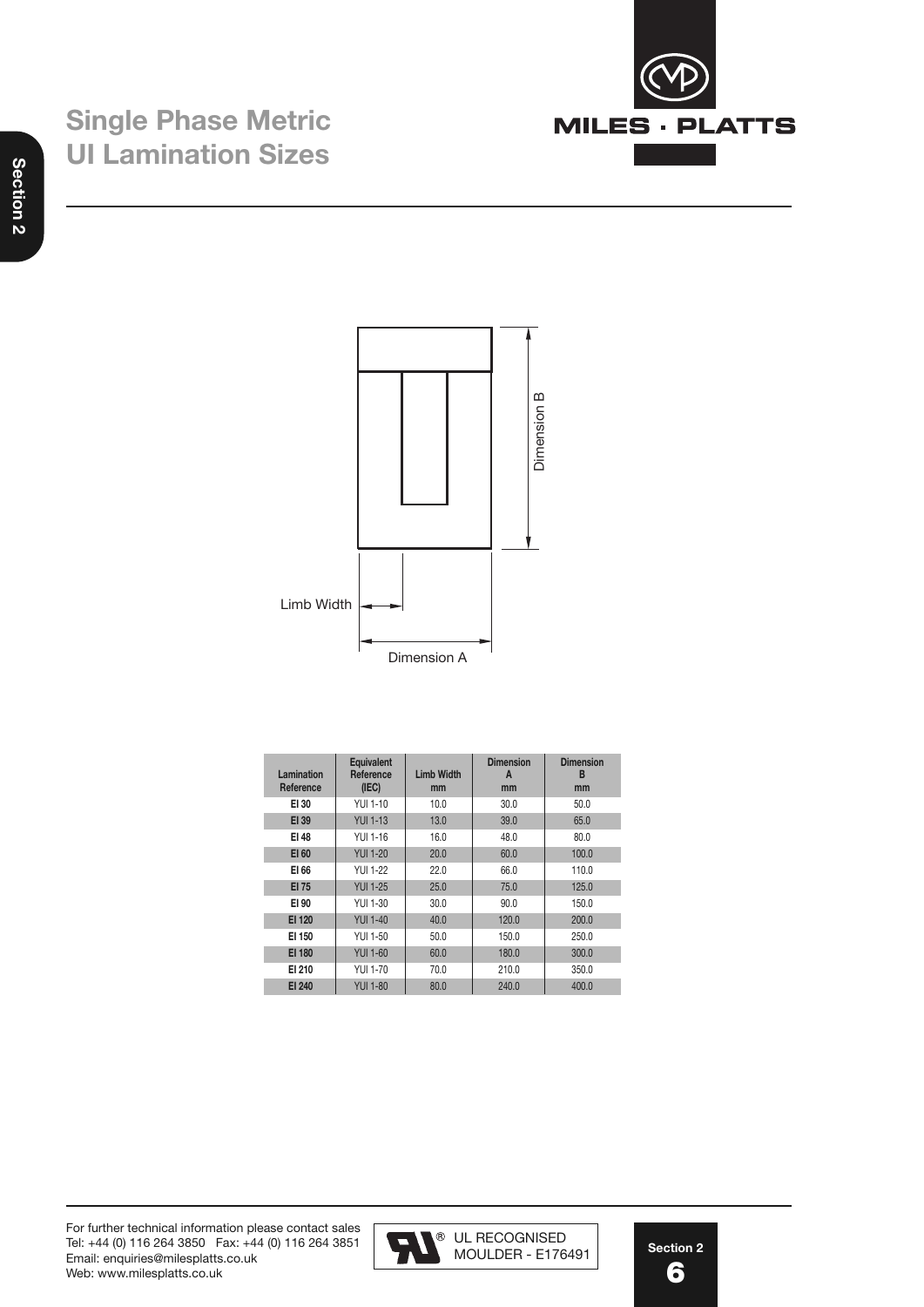





| Lamination<br>Reference | <b>Equivalent</b><br>Reference<br>(IEC) | <b>Limb Width</b><br>mm | <b>Dimension</b><br>A<br>mm | <b>Dimension</b><br>в<br>mm |
|-------------------------|-----------------------------------------|-------------------------|-----------------------------|-----------------------------|
| EI 30                   | YUL 1-10                                | 10.0                    | 30.0                        | 50.0                        |
| EI 39                   | <b>YUI 1-13</b>                         | 13.0                    | 39.0                        | 65.0                        |
| EI 48                   | YUI 1-16                                | 16.0                    | 48.0                        | 80.0                        |
| EI 60                   | <b>YUI 1-20</b>                         | 20.0                    | 60.0                        | 100.0                       |
| EI 66                   | YUI 1-22                                | 22.0                    | 66.0                        | 110.0                       |
| EI 75                   | <b>YUI 1-25</b>                         | 25.0                    | 75.0                        | 125.0                       |
| EI 90                   | YUI 1-30                                | 30.0                    | 90.0                        | 150.0                       |
| EI 120                  | <b>YUI 1-40</b>                         | 40.0                    | 120.0                       | 200.0                       |
| EI 150                  | YUI 1-50                                | 50.0                    | 150.0                       | 250.0                       |
| EI 180                  | <b>YUI 1-60</b>                         | 60.0                    | 180.0                       | 300.0                       |
| EI 210                  | <b>YUI 1-70</b>                         | 70.0                    | 210.0                       | 350.0                       |
| <b>EI 240</b>           | <b>YUI 1-80</b>                         | 80.0                    | 240.0                       | 400.0                       |

For further technical information please contact sales Tel: +44 (0) 116 264 3850 Fax: +44 (0) 116 264 3851 Email: enquiries@milesplatts.co.uk Web: www.milesplatts.co.uk

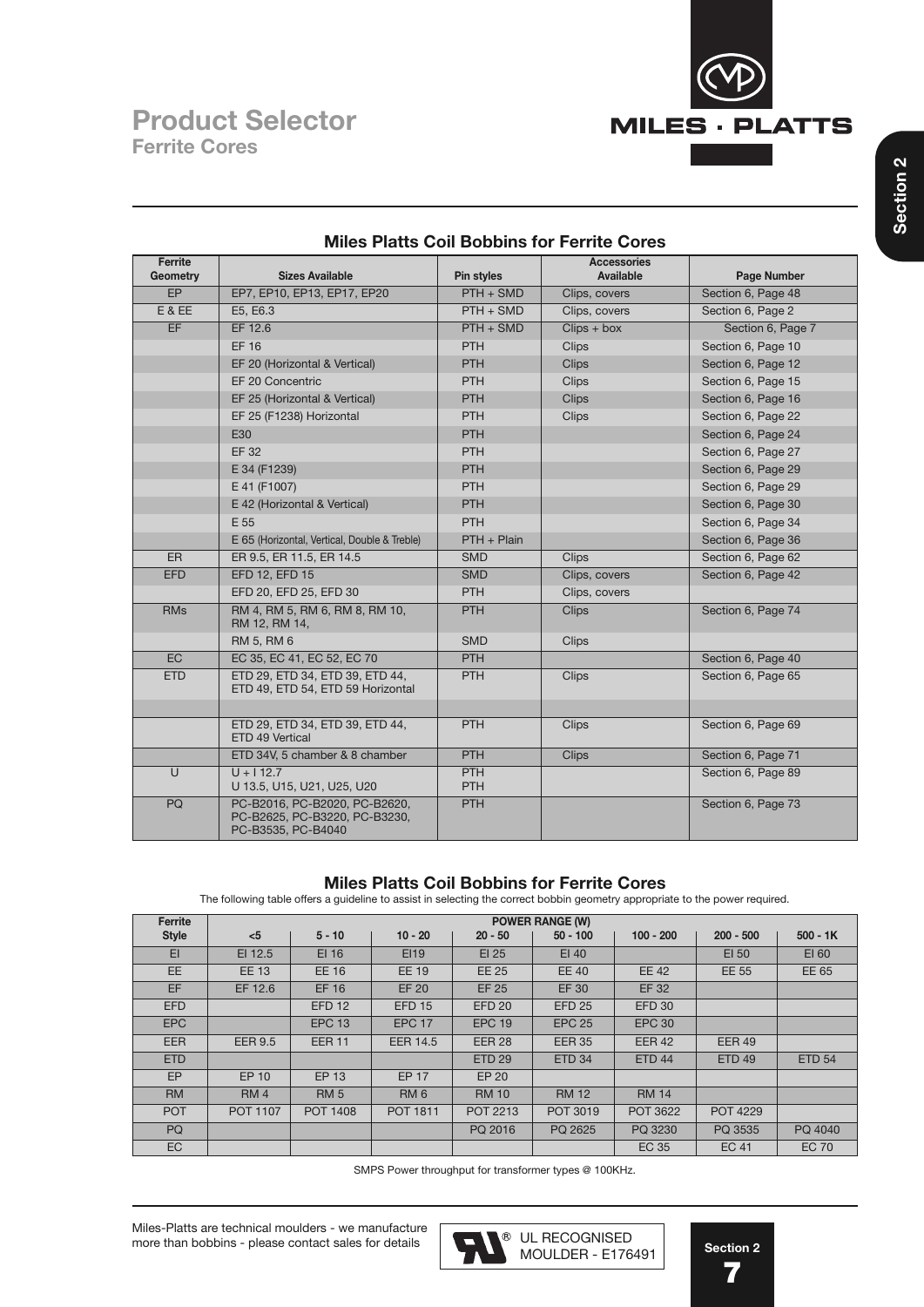

| Ferrite         |                                                                                      |                          | <b>Accessories</b> |                    |
|-----------------|--------------------------------------------------------------------------------------|--------------------------|--------------------|--------------------|
| <b>Geometry</b> | <b>Sizes Available</b>                                                               | Pin styles               | <b>Available</b>   | Page Number        |
| EP              | EP7, EP10, EP13, EP17, EP20                                                          | $PTH + SMD$              | Clips, covers      | Section 6, Page 48 |
| E & EE          | E5, E6.3                                                                             | $PTH + SMD$              | Clips, covers      | Section 6, Page 2  |
| <b>EF</b>       | EF 12.6                                                                              | $PTH + SMD$              | $Clips + box$      | Section 6, Page 7  |
|                 | <b>EF 16</b>                                                                         | <b>PTH</b>               | <b>Clips</b>       | Section 6, Page 10 |
|                 | EF 20 (Horizontal & Vertical)                                                        | <b>PTH</b>               | <b>Clips</b>       | Section 6, Page 12 |
|                 | EF 20 Concentric                                                                     | PTH                      | <b>Clips</b>       | Section 6, Page 15 |
|                 | EF 25 (Horizontal & Vertical)                                                        | <b>PTH</b>               | <b>Clips</b>       | Section 6, Page 16 |
|                 | EF 25 (F1238) Horizontal                                                             | PTH                      | <b>Clips</b>       | Section 6, Page 22 |
|                 | E30                                                                                  | <b>PTH</b>               |                    | Section 6, Page 24 |
|                 | <b>EF 32</b>                                                                         | PTH                      |                    | Section 6, Page 27 |
|                 | E 34 (F1239)                                                                         | <b>PTH</b>               |                    | Section 6, Page 29 |
|                 | E 41 (F1007)                                                                         | PTH                      |                    | Section 6, Page 29 |
|                 | E 42 (Horizontal & Vertical)                                                         | <b>PTH</b>               |                    | Section 6, Page 30 |
|                 | E 55                                                                                 | <b>PTH</b>               |                    | Section 6, Page 34 |
|                 | E 65 (Horizontal, Vertical, Double & Treble)                                         | PTH + Plain              |                    | Section 6, Page 36 |
| ER              | ER 9.5, ER 11.5, ER 14.5                                                             | <b>SMD</b>               | <b>Clips</b>       | Section 6, Page 62 |
| <b>EFD</b>      | EFD 12, EFD 15                                                                       | <b>SMD</b>               | Clips, covers      | Section 6, Page 42 |
|                 | EFD 20, EFD 25, EFD 30                                                               | PTH                      | Clips, covers      |                    |
| <b>RMs</b>      | RM 4, RM 5, RM 6, RM 8, RM 10,<br>RM 12, RM 14,                                      | PTH                      | <b>Clips</b>       | Section 6, Page 74 |
|                 | RM 5, RM 6                                                                           | <b>SMD</b>               | <b>Clips</b>       |                    |
| EC              | EC 35, EC 41, EC 52, EC 70                                                           | PTH                      |                    | Section 6, Page 40 |
| <b>ETD</b>      | ETD 29, ETD 34, ETD 39, ETD 44,<br>ETD 49, ETD 54, ETD 59 Horizontal                 | <b>PTH</b>               | <b>Clips</b>       | Section 6, Page 65 |
|                 |                                                                                      |                          |                    |                    |
|                 | ETD 29, ETD 34, ETD 39, ETD 44,<br>ETD 49 Vertical                                   | PTH                      | <b>Clips</b>       | Section 6, Page 69 |
|                 | ETD 34V, 5 chamber & 8 chamber                                                       | PTH                      | <b>Clips</b>       | Section 6, Page 71 |
| $\cup$          | $U + 112.7$<br>U 13.5, U15, U21, U25, U20                                            | <b>PTH</b><br><b>PTH</b> |                    | Section 6, Page 89 |
| PQ              | PC-B2016, PC-B2020, PC-B2620,<br>PC-B2625, PC-B3220, PC-B3230,<br>PC-B3535, PC-B4040 | <b>PTH</b>               |                    | Section 6, Page 73 |

### **Miles Platts Coil Bobbins for Ferrite Cores**

## **Miles Platts Coil Bobbins for Ferrite Cores**

The following table offers a guideline to assist in selecting the correct bobbin geometry appropriate to the power required.

| Ferrite      |                 |                 |                 |                 | <b>POWER RANGE (W)</b> |                 |                 |               |
|--------------|-----------------|-----------------|-----------------|-----------------|------------------------|-----------------|-----------------|---------------|
| <b>Style</b> | $5$             | $5 - 10$        | $10 - 20$       | $20 - 50$       | $50 - 100$             | $100 - 200$     | $200 - 500$     | $500 - 1K$    |
| E1           | EI 12.5         | EI 16           | EI19            | $EI$ 25         | EI40                   |                 | EI 50           | EI 60         |
| <b>EE</b>    | <b>EE 13</b>    | <b>EE 16</b>    | <b>EE 19</b>    | <b>EE 25</b>    | <b>EE 40</b>           | <b>EE 42</b>    | <b>EE 55</b>    | EE 65         |
| EF           | EF 12.6         | <b>EF 16</b>    | <b>EF 20</b>    | <b>EF 25</b>    | <b>EF30</b>            | EF 32           |                 |               |
| <b>EFD</b>   |                 | <b>EFD 12</b>   | <b>EFD 15</b>   | <b>EFD 20</b>   | <b>EFD 25</b>          | <b>EFD 30</b>   |                 |               |
| <b>EPC</b>   |                 | <b>EPC 13</b>   | <b>EPC 17</b>   | <b>EPC 19</b>   | <b>EPC 25</b>          | <b>EPC 30</b>   |                 |               |
| <b>EER</b>   | <b>EER 9.5</b>  | <b>EER 11</b>   | <b>EER 14.5</b> | <b>EER 28</b>   | <b>EER 35</b>          | <b>EER 42</b>   | <b>EER 49</b>   |               |
| <b>ETD</b>   |                 |                 |                 | <b>ETD 29</b>   | <b>ETD 34</b>          | <b>ETD 44</b>   | <b>ETD 49</b>   | <b>ETD 54</b> |
| <b>EP</b>    | EP 10           | EP 13           | <b>EP 17</b>    | EP 20           |                        |                 |                 |               |
| RM           | RM <sub>4</sub> | <b>RM 5</b>     | RM <sub>6</sub> | <b>RM 10</b>    | <b>RM 12</b>           | <b>RM 14</b>    |                 |               |
| <b>POT</b>   | <b>POT 1107</b> | <b>POT 1408</b> | <b>POT 1811</b> | <b>POT 2213</b> | POT 3019               | <b>POT 3622</b> | <b>POT 4229</b> |               |
| PQ           |                 |                 |                 | PQ 2016         | PQ 2625                | PQ 3230         | PQ 3535         | PQ 4040       |
| EC           |                 |                 |                 |                 |                        | EC 35           | <b>EC 41</b>    | <b>EC 70</b>  |

SMPS Power throughput for transformer types @ 100KHz.

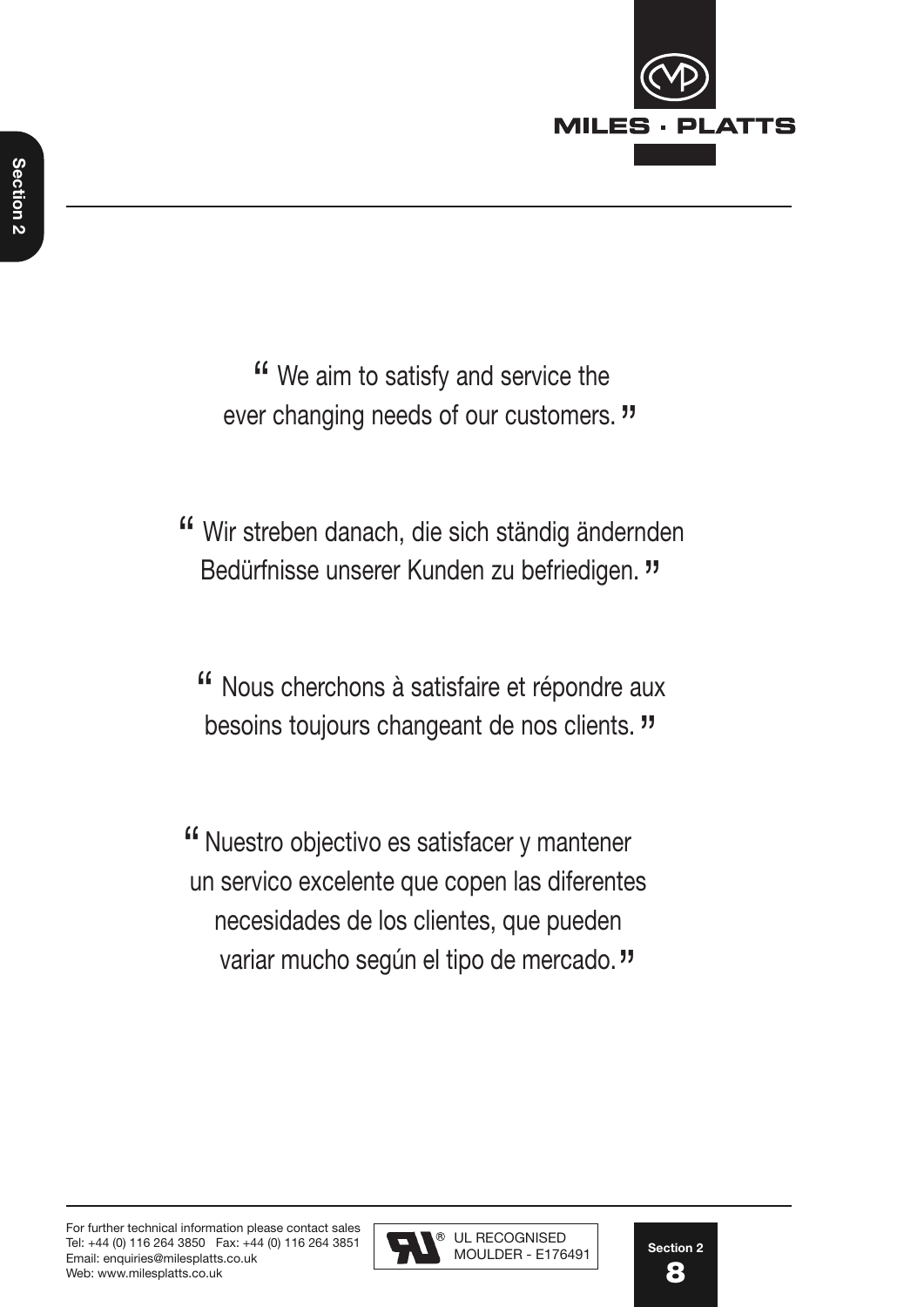

" We aim to satisfy and service the ever changing needs of our customers. "

- " Wir streben danach, die sich ständig ändernden Bedürfnisse unserer Kunden zu befriedigen. "
	- " Nous cherchons à satisfaire et répondre aux besoins toujours changeant de nos clients. "

" Nuestro objectivo es satisfacer y mantener un servico excelente que copen las diferentes necesidades de los clientes, que pueden variar mucho según el tipo de mercado."

 $\overline{a}$ 

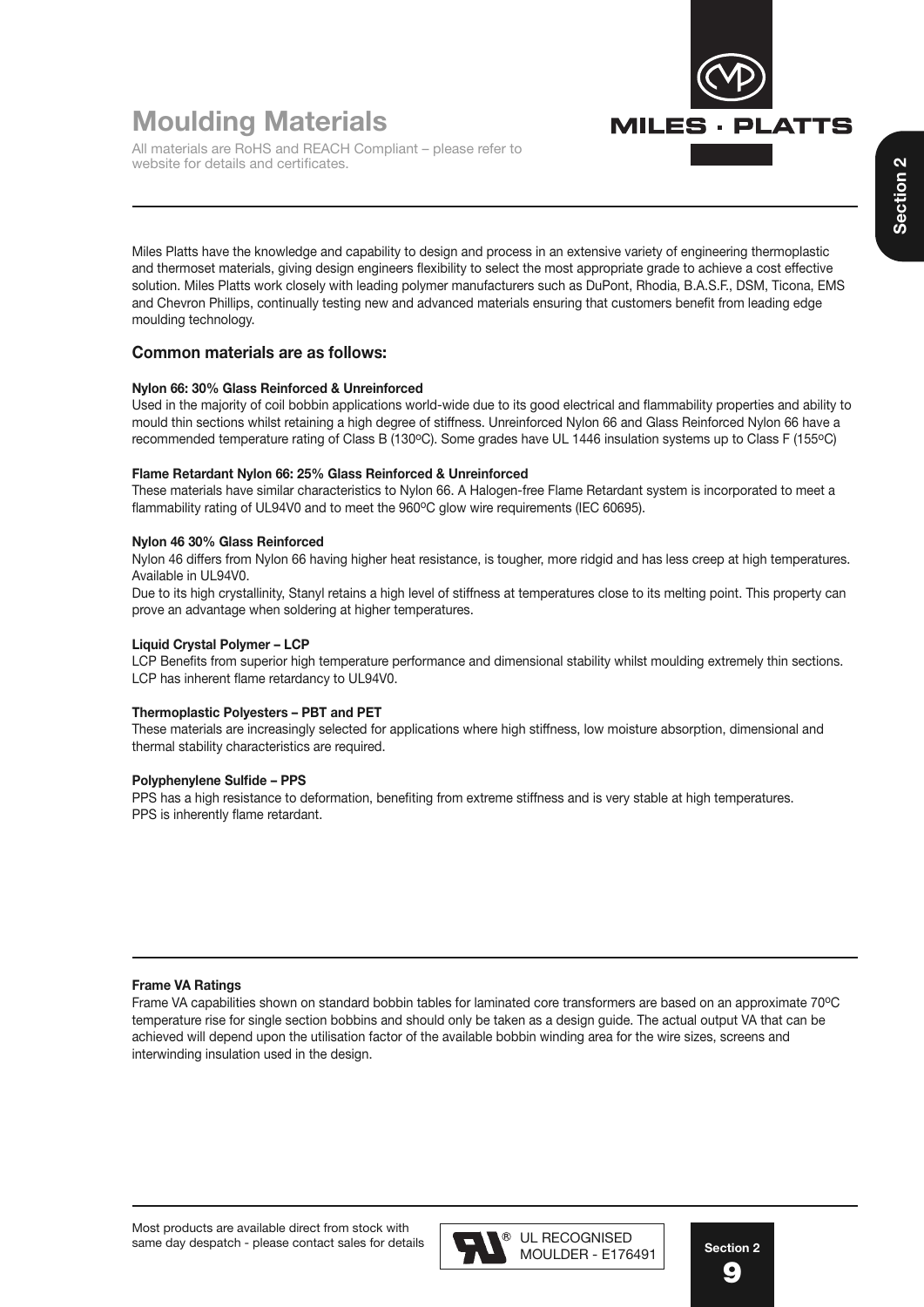

# **Moulding Materials**

All materials are RoHS and REACH Compliant – please refer to website for details and certificates.

Miles Platts have the knowledge and capability to design and process in an extensive variety of engineering thermoplastic and thermoset materials, giving design engineers flexibility to select the most appropriate grade to achieve a cost effective solution. Miles Platts work closely with leading polymer manufacturers such as DuPont, Rhodia, B.A.S.F., DSM, Ticona, EMS and Chevron Phillips, continually testing new and advanced materials ensuring that customers benefit from leading edge moulding technology.

#### **Common materials are as follows:**

#### **Nylon 66: 30% Glass Reinforced & Unreinforced**

Used in the majority of coil bobbin applications world-wide due to its good electrical and flammability properties and ability to mould thin sections whilst retaining a high degree of stiffness. Unreinforced Nylon 66 and Glass Reinforced Nylon 66 have a recommended temperature rating of Class B (130°C). Some grades have UL 1446 insulation systems up to Class F (155°C)

#### **Flame Retardant Nylon 66: 25% Glass Reinforced & Unreinforced**

These materials have similar characteristics to Nylon 66. A Halogen-free Flame Retardant system is incorporated to meet a flammability rating of UL94V0 and to meet the 960°C glow wire requirements (IEC 60695).

#### **Nylon 46 30% Glass Reinforced**

Nylon 46 differs from Nylon 66 having higher heat resistance, is tougher, more ridgid and has less creep at high temperatures. Available in UL94V0.

Due to its high crystallinity, Stanyl retains a high level of stiffness at temperatures close to its melting point. This property can prove an advantage when soldering at higher temperatures.

#### **Liquid Crystal Polymer – LCP**

LCP Benefits from superior high temperature performance and dimensional stability whilst moulding extremely thin sections. LCP has inherent flame retardancy to UL94V0.

#### **Thermoplastic Polyesters – PBT and PET**

These materials are increasingly selected for applications where high stiffness, low moisture absorption, dimensional and thermal stability characteristics are required.

#### **Polyphenylene Sulfide – PPS**

PPS has a high resistance to deformation, benefiting from extreme stiffness and is very stable at high temperatures. PPS is inherently flame retardant.

#### **Frame VA Ratings**

Frame VA capabilities shown on standard bobbin tables for laminated core transformers are based on an approximate 70°C temperature rise for single section bobbins and should only be taken as a design guide. The actual output VA that can be achieved will depend upon the utilisation factor of the available bobbin winding area for the wire sizes, screens and interwinding insulation used in the design.



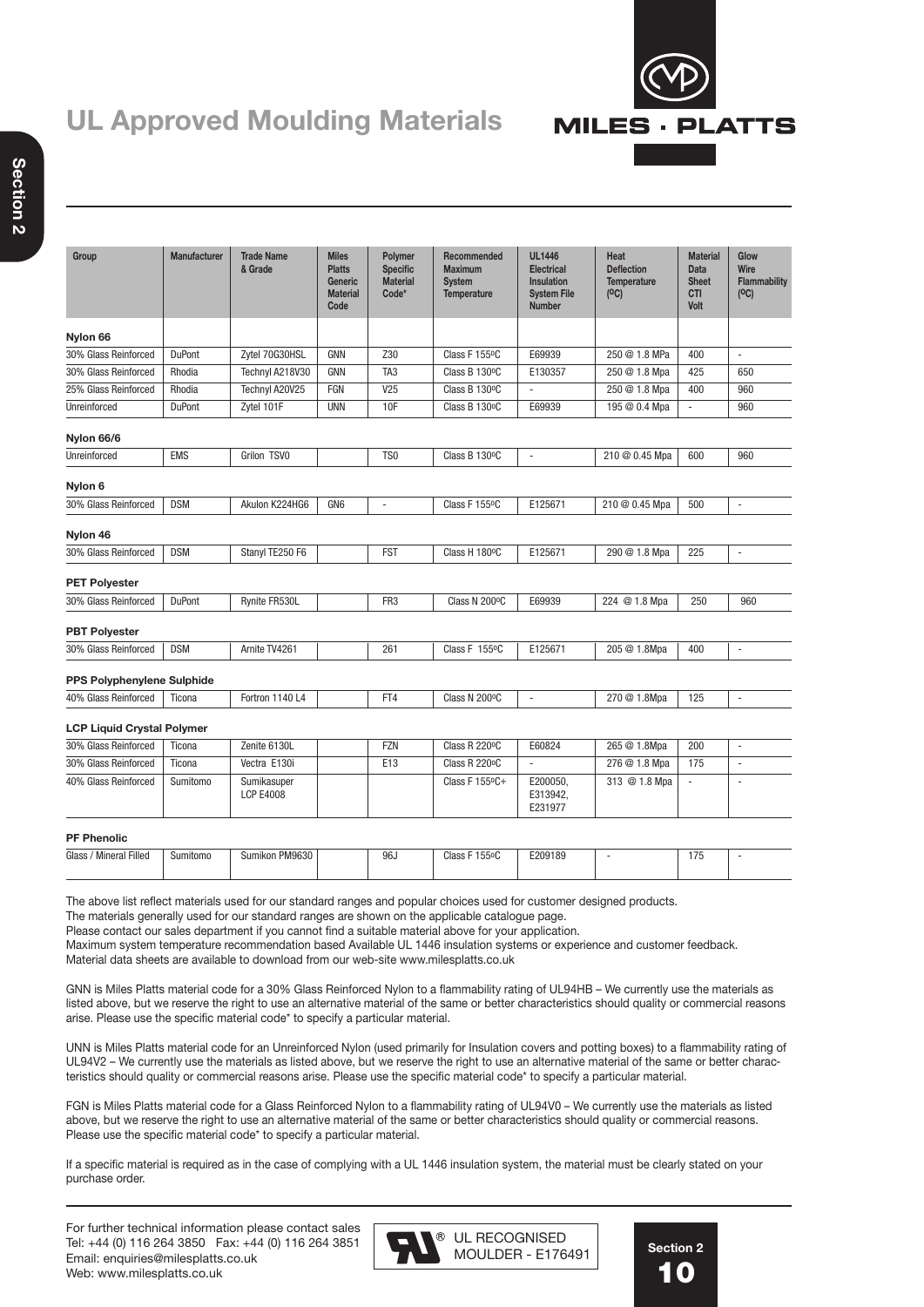# **UL Approved Moulding Materials**



| ۵ |  |
|---|--|
|   |  |
| ī |  |

| Group                                                                                                                                                                                                                                                                                                                                                                                                                                                                                                                                                       | <b>Manufacturer</b> | <b>Trade Name</b><br>& Grade    | <b>Miles</b><br><b>Platts</b><br>Generic<br><b>Material</b><br>Code | Polymer<br><b>Specific</b><br><b>Material</b><br>Code* | Recommended<br><b>Maximum</b><br><b>System</b><br><b>Temperature</b> | <b>UL1446</b><br><b>Electrical</b><br><b>Insulation</b><br><b>System File</b><br><b>Number</b> | Heat<br><b>Deflection</b><br><b>Temperature</b><br>(C) | <b>Material</b><br>Data<br><b>Sheet</b><br><b>CTI</b><br>Volt | Glow<br><b>Wire</b><br><b>Flammability</b><br>(C) |
|-------------------------------------------------------------------------------------------------------------------------------------------------------------------------------------------------------------------------------------------------------------------------------------------------------------------------------------------------------------------------------------------------------------------------------------------------------------------------------------------------------------------------------------------------------------|---------------------|---------------------------------|---------------------------------------------------------------------|--------------------------------------------------------|----------------------------------------------------------------------|------------------------------------------------------------------------------------------------|--------------------------------------------------------|---------------------------------------------------------------|---------------------------------------------------|
| Nylon 66                                                                                                                                                                                                                                                                                                                                                                                                                                                                                                                                                    |                     |                                 |                                                                     |                                                        |                                                                      |                                                                                                |                                                        |                                                               |                                                   |
| 30% Glass Reinforced                                                                                                                                                                                                                                                                                                                                                                                                                                                                                                                                        | <b>DuPont</b>       | Zytel 70G30HSL                  | GNN                                                                 | Z30                                                    | Class F 155°C                                                        | E69939                                                                                         | 250 @ 1.8 MPa                                          | 400                                                           | $\overline{a}$                                    |
| 30% Glass Reinforced                                                                                                                                                                                                                                                                                                                                                                                                                                                                                                                                        | Rhodia              | Technyl A218V30                 | <b>GNN</b>                                                          | TA <sub>3</sub>                                        | Class B 130°C                                                        | E130357                                                                                        | 250 @ 1.8 Mpa                                          | 425                                                           | 650                                               |
| 25% Glass Reinforced                                                                                                                                                                                                                                                                                                                                                                                                                                                                                                                                        | Rhodia              | Technyl A20V25                  | FGN                                                                 | V25                                                    | Class B 130°C                                                        |                                                                                                | 250 @ 1.8 Mpa                                          | 400                                                           | 960                                               |
| Unreinforced                                                                                                                                                                                                                                                                                                                                                                                                                                                                                                                                                | <b>DuPont</b>       | Zytel 101F                      | <b>UNN</b>                                                          | 10F                                                    | Class B 130°C                                                        | E69939                                                                                         | 195 @ 0.4 Mpa                                          | ÷,                                                            | 960                                               |
| Nylon 66/6                                                                                                                                                                                                                                                                                                                                                                                                                                                                                                                                                  |                     |                                 |                                                                     |                                                        |                                                                      |                                                                                                |                                                        |                                                               |                                                   |
| Unreinforced                                                                                                                                                                                                                                                                                                                                                                                                                                                                                                                                                | <b>EMS</b>          | Grilon TSV0                     |                                                                     | TS <sub>0</sub>                                        | Class B 130°C                                                        | $\overline{\phantom{a}}$                                                                       | 210 @ 0.45 Mpa                                         | 600                                                           | 960                                               |
| Nylon 6                                                                                                                                                                                                                                                                                                                                                                                                                                                                                                                                                     |                     |                                 |                                                                     |                                                        |                                                                      |                                                                                                |                                                        |                                                               |                                                   |
| 30% Glass Reinforced                                                                                                                                                                                                                                                                                                                                                                                                                                                                                                                                        | <b>DSM</b>          | Akulon K224HG6                  | GN <sub>6</sub>                                                     | ÷,                                                     | Class F 155°C                                                        | E125671                                                                                        | 210 @ 0.45 Mpa                                         | 500                                                           | ÷,                                                |
| Nylon 46                                                                                                                                                                                                                                                                                                                                                                                                                                                                                                                                                    |                     |                                 |                                                                     |                                                        |                                                                      |                                                                                                |                                                        |                                                               |                                                   |
| 30% Glass Reinforced                                                                                                                                                                                                                                                                                                                                                                                                                                                                                                                                        | <b>DSM</b>          | Stanyl TE250 F6                 |                                                                     | <b>FST</b>                                             | Class H 180°C                                                        | E125671                                                                                        | 290 @ 1.8 Mpa                                          | 225                                                           | ÷,                                                |
| <b>PET Polyester</b>                                                                                                                                                                                                                                                                                                                                                                                                                                                                                                                                        |                     |                                 |                                                                     |                                                        |                                                                      |                                                                                                |                                                        |                                                               |                                                   |
| 30% Glass Reinforced                                                                                                                                                                                                                                                                                                                                                                                                                                                                                                                                        | <b>DuPont</b>       | Rynite FR530L                   |                                                                     | FR <sub>3</sub>                                        | Class N 200°C                                                        | E69939                                                                                         | 224 @ 1.8 Mpa                                          | 250                                                           | 960                                               |
| <b>PBT Polyester</b>                                                                                                                                                                                                                                                                                                                                                                                                                                                                                                                                        |                     |                                 |                                                                     |                                                        |                                                                      |                                                                                                |                                                        |                                                               |                                                   |
| 30% Glass Reinforced                                                                                                                                                                                                                                                                                                                                                                                                                                                                                                                                        | <b>DSM</b>          | Arnite TV4261                   |                                                                     | 261                                                    | Class F 155°C                                                        | E125671                                                                                        | 205 @ 1.8Mpa                                           | 400                                                           | $\overline{\phantom{a}}$                          |
| <b>PPS Polyphenylene Sulphide</b>                                                                                                                                                                                                                                                                                                                                                                                                                                                                                                                           |                     |                                 |                                                                     |                                                        |                                                                      |                                                                                                |                                                        |                                                               |                                                   |
| 40% Glass Reinforced                                                                                                                                                                                                                                                                                                                                                                                                                                                                                                                                        | Ticona              | Fortron 1140 L4                 |                                                                     | FT4                                                    | Class N 200°C                                                        | $\overline{\phantom{a}}$                                                                       | 270 @ 1.8Mpa                                           | 125                                                           | $\frac{1}{2}$                                     |
| <b>LCP Liquid Crystal Polymer</b>                                                                                                                                                                                                                                                                                                                                                                                                                                                                                                                           |                     |                                 |                                                                     |                                                        |                                                                      |                                                                                                |                                                        |                                                               |                                                   |
| 30% Glass Reinforced                                                                                                                                                                                                                                                                                                                                                                                                                                                                                                                                        | Ticona              | Zenite 6130L                    |                                                                     | <b>FZN</b>                                             | Class R 220°C                                                        | E60824                                                                                         | 265 @ 1.8Mpa                                           | 200                                                           | ÷,                                                |
| 30% Glass Reinforced                                                                                                                                                                                                                                                                                                                                                                                                                                                                                                                                        | Ticona              | Vectra E130i                    |                                                                     | E13                                                    | Class R 220°C                                                        | ÷,                                                                                             | 276 @ 1.8 Mpa                                          | 175                                                           |                                                   |
| 40% Glass Reinforced                                                                                                                                                                                                                                                                                                                                                                                                                                                                                                                                        | Sumitomo            | Sumikasuper<br><b>LCP E4008</b> |                                                                     |                                                        | Class F 155°C+                                                       | E200050,<br>E313942,<br>E231977                                                                | 313 @ 1.8 Mpa                                          | $\overline{\phantom{a}}$                                      |                                                   |
| <b>PF Phenolic</b>                                                                                                                                                                                                                                                                                                                                                                                                                                                                                                                                          |                     |                                 |                                                                     |                                                        |                                                                      |                                                                                                |                                                        |                                                               |                                                   |
| Glass / Mineral Filled                                                                                                                                                                                                                                                                                                                                                                                                                                                                                                                                      | Sumitomo            | Sumikon PM9630                  |                                                                     | 96J                                                    | Class F 155°C                                                        | E209189                                                                                        | ä,                                                     | 175                                                           | ä,                                                |
| The above list reflect materials used for our standard ranges and popular choices used for customer designed products.<br>The materials generally used for our standard ranges are shown on the applicable catalogue page.<br>Please contact our sales department if you cannot find a suitable material above for your application.<br>Maximum system temperature recommendation based Available UL 1446 insulation systems or experience and customer feedback.<br>Material data sheets are available to download from our web-site www.milesplatts.co.uk |                     |                                 |                                                                     |                                                        |                                                                      |                                                                                                |                                                        |                                                               |                                                   |

GNN is Miles Platts material code for a 30% Glass Reinforced Nylon to a flammability rating of UL94HB – We currently use the materials as listed above, but we reserve the right to use an alternative material of the same or better characteristics should quality or commercial reasons arise. Please use the specific material code\* to specify a particular material.

UNN is Miles Platts material code for an Unreinforced Nylon (used primarily for Insulation covers and potting boxes) to a flammability rating of UL94V2 – We currently use the materials as listed above, but we reserve the right to use an alternative material of the same or better characteristics should quality or commercial reasons arise. Please use the specific material code\* to specify a particular material.

FGN is Miles Platts material code for a Glass Reinforced Nylon to a flammability rating of UL94V0 – We currently use the materials as listed above, but we reserve the right to use an alternative material of the same or better characteristics should quality or commercial reasons. Please use the specific material code\* to specify a particular material.

If a specific material is required as in the case of complying with a UL 1446 insulation system, the material must be clearly stated on your purchase order.



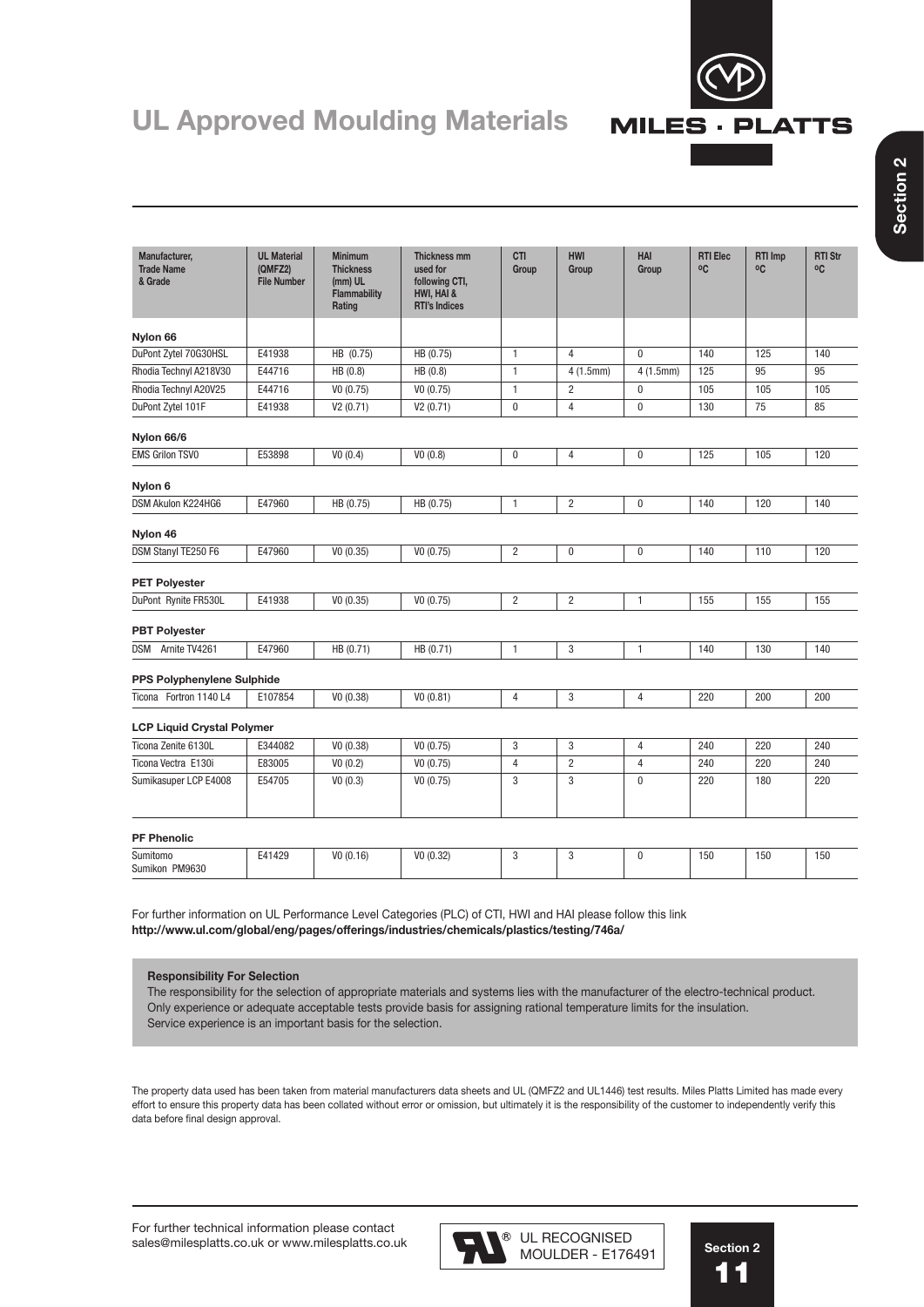

# UL Approved Moulding Materials MILES · PLATTS

| Manufacturer,<br><b>Trade Name</b><br>& Grade | <b>UL Material</b><br>(QMFZ2)<br><b>File Number</b> | <b>Minimum</b><br><b>Thickness</b><br>(mm) UL<br>Flammability<br>Rating | <b>Thickness mm</b><br>used for<br>following CTI,<br>HWI, HAI &<br><b>RTI's Indices</b> | <b>CTI</b><br>Group | <b>HWI</b><br>Group | HAI<br>Group   | <b>RTI Elec</b><br>°C | <b>RTI Imp</b><br>°C | <b>RTI Str</b><br>°C |
|-----------------------------------------------|-----------------------------------------------------|-------------------------------------------------------------------------|-----------------------------------------------------------------------------------------|---------------------|---------------------|----------------|-----------------------|----------------------|----------------------|
| Nylon 66                                      |                                                     |                                                                         |                                                                                         |                     |                     |                |                       |                      |                      |
| DuPont Zytel 70G30HSL                         | E41938                                              | HB (0.75)                                                               | HB (0.75)                                                                               | $\mathbf{1}$        | $\overline{4}$      | $\mathbf{0}$   | 140                   | 125                  | 140                  |
| Rhodia Technyl A218V30                        | E44716                                              | HB (0.8)                                                                | HB (0.8)                                                                                | $\mathbf{1}$        | 4(1.5mm)            | 4(1.5mm)       | 125                   | 95                   | 95                   |
| Rhodia Technyl A20V25                         | E44716                                              | V0(0.75)                                                                | V0(0.75)                                                                                | $\mathbf{1}$        | $\overline{2}$      | $\mathbf{0}$   | 105                   | 105                  | 105                  |
| DuPont Zytel 101F                             | E41938                                              | V2(0.71)                                                                | V2(0.71)                                                                                | $\mathbf 0$         | $\overline{4}$      | $\mathbf{0}$   | 130                   | 75                   | 85                   |
| Nylon 66/6                                    |                                                     |                                                                         |                                                                                         |                     |                     |                |                       |                      |                      |
| <b>EMS Grilon TSVO</b>                        | E53898                                              | VO (0.4)                                                                | V0(0.8)                                                                                 | $\pmb{0}$           | $\overline{4}$      | $\pmb{0}$      | 125                   | 105                  | 120                  |
| Nylon 6                                       |                                                     |                                                                         |                                                                                         |                     |                     |                |                       |                      |                      |
| DSM Akulon K224HG6                            | E47960                                              | HB (0.75)                                                               | HB (0.75)                                                                               | $\mathbf{1}$        | $\overline{2}$      | $\mathbf 0$    | 140                   | 120                  | 140                  |
| Nylon 46                                      |                                                     |                                                                         |                                                                                         |                     |                     |                |                       |                      |                      |
| DSM Stanyl TE250 F6                           | E47960                                              | V0(0.35)                                                                | V0(0.75)                                                                                | $\overline{2}$      | $\pmb{0}$           | $\bf{0}$       | 140                   | 110                  | 120                  |
| <b>PET Polyester</b>                          |                                                     |                                                                         |                                                                                         |                     |                     |                |                       |                      |                      |
| DuPont Rynite FR530L                          | E41938                                              | V0(0.35)                                                                | V0(0.75)                                                                                | $\overline{2}$      | $\overline{2}$      | $\mathbf{1}$   | 155                   | 155                  | 155                  |
| <b>PBT Polyester</b>                          |                                                     |                                                                         |                                                                                         |                     |                     |                |                       |                      |                      |
| DSM Arnite TV4261                             | E47960                                              | HB (0.71)                                                               | HB (0.71)                                                                               | $\mathbf{1}$        | 3                   | $\mathbf{1}$   | 140                   | 130                  | 140                  |
| <b>PPS Polyphenylene Sulphide</b>             |                                                     |                                                                         |                                                                                         |                     |                     |                |                       |                      |                      |
| Ticona Fortron 1140 L4                        | E107854                                             | V0(0.38)                                                                | VO (0.81)                                                                               | $\overline{4}$      | 3                   | $\overline{4}$ | 220                   | 200                  | 200                  |
| <b>LCP Liquid Crystal Polymer</b>             |                                                     |                                                                         |                                                                                         |                     |                     |                |                       |                      |                      |
| Ticona Zenite 6130L                           | E344082                                             | V0(0.38)                                                                | V0(0.75)                                                                                | 3                   | 3                   | $\overline{4}$ | 240                   | 220                  | 240                  |
| Ticona Vectra E130i                           | E83005                                              | VO(0.2)                                                                 | V0(0.75)                                                                                | $\overline{4}$      | $\overline{2}$      | $\overline{4}$ | 240                   | 220                  | 240                  |
| Sumikasuper LCP E4008                         | E54705                                              | V0(0.3)                                                                 | V0(0.75)                                                                                | 3                   | 3                   | $\pmb{0}$      | 220                   | 180                  | 220                  |
| <b>PF Phenolic</b>                            |                                                     |                                                                         |                                                                                         |                     |                     |                |                       |                      |                      |
| Sumitomo<br>Sumikon PM9630                    | E41429                                              | VO (0.16)                                                               | V0(0.32)                                                                                | 3                   | 3                   | $\pmb{0}$      | 150                   | 150                  | 150                  |

For further information on UL Performance Level Categories (PLC) of CTI, HWI and HAI please follow this link **http://www.ul.com/global/eng/pages/offerings/industries/chemicals/plastics/testing/746a/**

#### **Responsibility For Selection**

The responsibility for the selection of appropriate materials and systems lies with the manufacturer of the electro-technical product. Only experience or adequate acceptable tests provide basis for assigning rational temperature limits for the insulation. Service experience is an important basis for the selection.

The property data used has been taken from material manufacturers data sheets and UL (QMFZ2 and UL1446) test results. Miles Platts Limited has made every effort to ensure this property data has been collated without error or omission, but ultimately it is the responsibility of the customer to independently verify this data before final design approval.

MOULDER - E176491

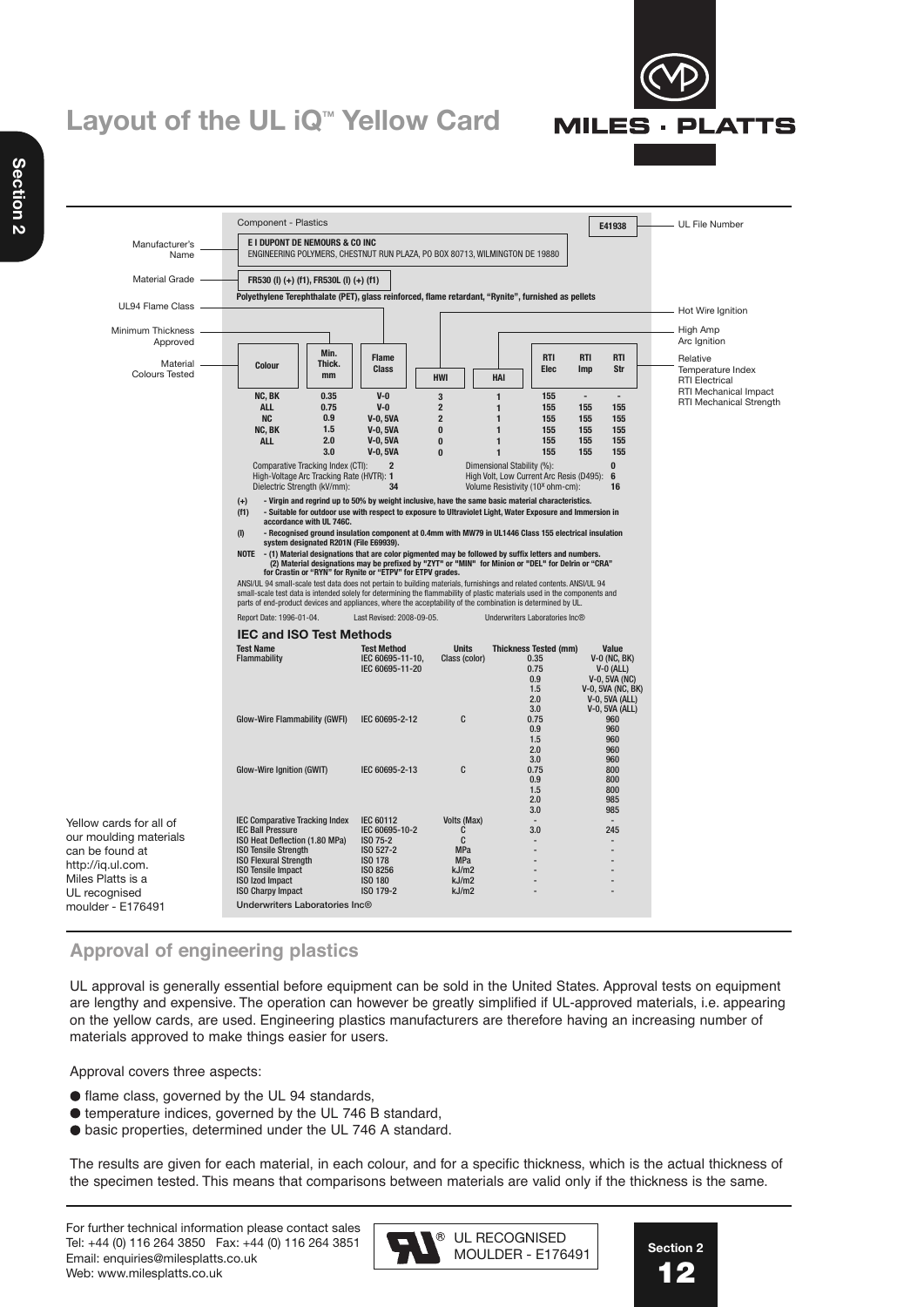# **Layout of the UL iQ<sup>™</sup> Yellow Card**



## **Approval of engineering plastics**

UL approval is generally essential before equipment can be sold in the United States. Approval tests on equipment are lengthy and expensive. The operation can however be greatly simplified if UL-approved materials, i.e. appearing on the yellow cards, are used. Engineering plastics manufacturers are therefore having an increasing number of materials approved to make things easier for users.

Approval covers three aspects:

- flame class, governed by the UL 94 standards,
- temperature indices, governed by the UL 746 B standard,
- basic properties, determined under the UL 746 A standard.

The results are given for each material, in each colour, and for a specific thickness, which is the actual thickness of the specimen tested. This means that comparisons between materials are valid only if the thickness is the same.

For further technical information please contact sales Tel: +44 (0) 116 264 3850 Fax: +44 (0) 116 264 3851 Email: enquiries@milesplatts.co.uk Web: www.milesplatts.co.uk





**MILES · PLATTS**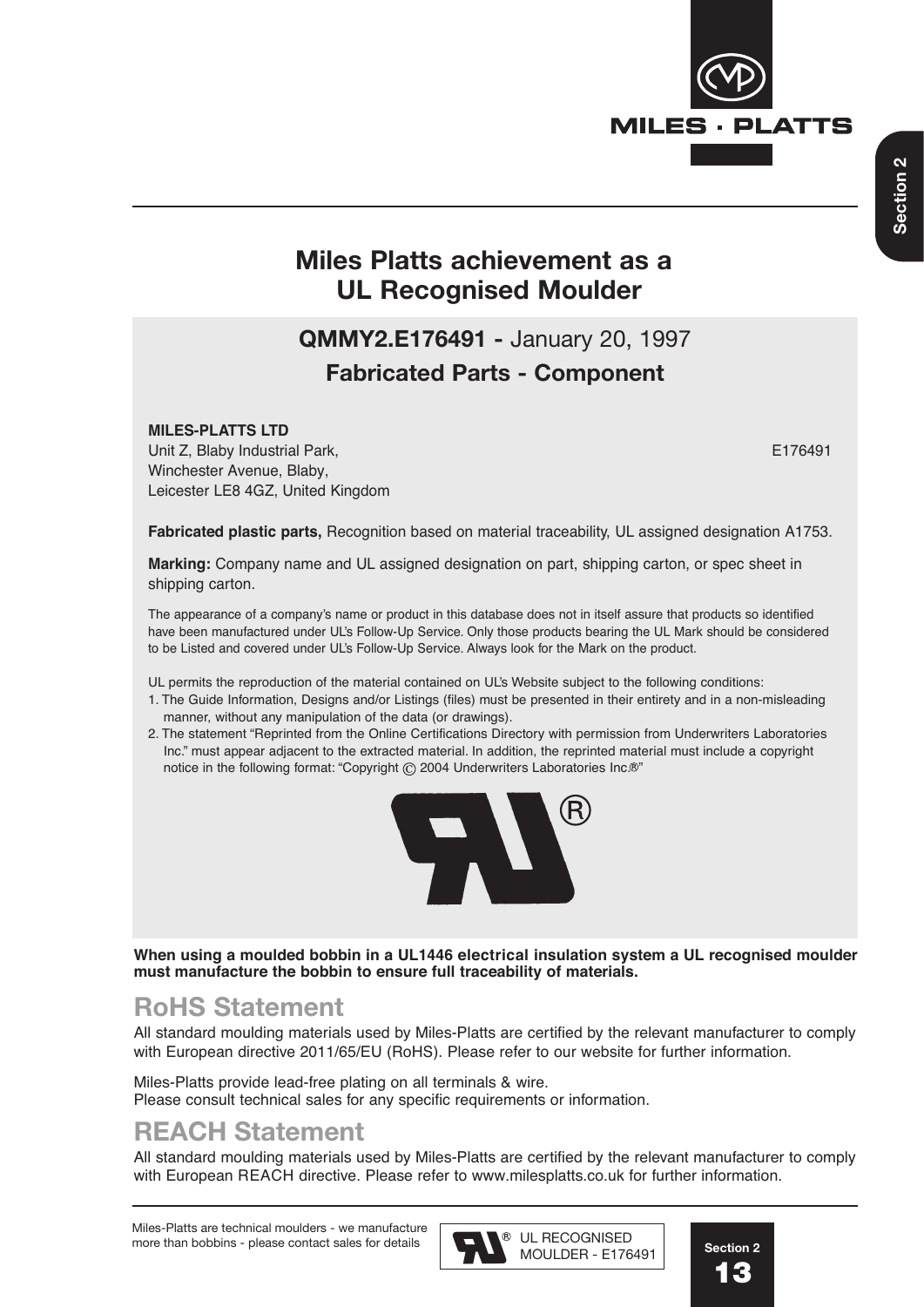

## **Miles Platts achievement as a UL Recognised Moulder**

# **QMMY2.E176491 -** January 20, 1997 **Fabricated Parts - Component**

### **MILES-PLATTS LTD**

Unit Z, Blaby Industrial Park, E176491 Winchester Avenue, Blaby, Leicester LE8 4GZ, United Kingdom

**Fabricated plastic parts,** Recognition based on material traceability, UL assigned designation A1753.

**Marking:** Company name and UL assigned designation on part, shipping carton, or spec sheet in shipping carton.

The appearance of a company's name or product in this database does not in itself assure that products so identified have been manufactured under UL's Follow-Up Service. Only those products bearing the UL Mark should be considered to be Listed and covered under UL's Follow-Up Service. Always look for the Mark on the product.

UL permits the reproduction of the material contained on UL's Website subject to the following conditions:

- 1. The Guide Information, Designs and/or Listings (files) must be presented in their entirety and in a non-misleading manner, without any manipulation of the data (or drawings).
- 2. The statement "Reprinted from the Online Certifications Directory with permission from Underwriters Laboratories Inc." must appear adjacent to the extracted material. In addition, the reprinted material must include a copyright notice in the following format: "Copyright C 2004 Underwriters Laboratories Inc.<sup>®"</sup>



**When using a moulded bobbin in a UL1446 electrical insulation system a UL recognised moulder must manufacture the bobbin to ensure full traceability of materials.**

## **RoHS Statement**

All standard moulding materials used by Miles-Platts are certified by the relevant manufacturer to comply with European directive 2011/65/EU (RoHS). Please refer to our website for further information.

Miles-Platts provide lead-free plating on all terminals & wire. Please consult technical sales for any specific requirements or information.

## **REACH Statement**

All standard moulding materials used by Miles-Platts are certified by the relevant manufacturer to comply with European REACH directive. Please refer to www.milesplatts.co.uk for further information.